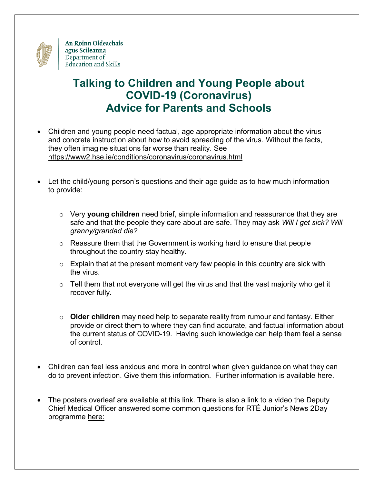

## **Talking to Children and Young People about COVID-19 (Coronavirus) Advice for Parents and Schools**

- Children and young people need factual, age appropriate information about the virus and concrete instruction about how to avoid spreading of the virus. Without the facts, they often imagine situations far worse than reality. See <https://www2.hse.ie/conditions/coronavirus/coronavirus.html>
- Let the child/young person's questions and their age guide as to how much information to provide:
	- o Very **young children** need brief, simple information and reassurance that they are safe and that the people they care about are safe. They may ask *Will I get sick? Will granny/grandad die?*
	- o Reassure them that the Government is working hard to ensure that people throughout the country stay healthy.
	- $\circ$  Explain that at the present moment very few people in this country are sick with the virus.
	- $\circ$  Tell them that not everyone will get the virus and that the vast majority who get it recover fully.
	- o **Older children** may need help to separate reality from rumour and fantasy. Either provide or direct them to where they can find accurate, and factual information about the current status of COVID-19. Having such knowledge can help them feel a sense of control.
- Children can feel less anxious and more in control when given guidance on what they can do to prevent infection. Give them this information. Further information is available [here.](https://www.education.ie/en/The-Department/Announcements/information-for-schools-preschools-and-third-level-institutions-on-the-coronavirus.html)
- The posters overleaf are available at this link. There is also a link to a video the Deputy Chief Medical Officer answered some common questions for RTÉ Junior's News 2Day programme [here:](https://www.youtube.com/watch?v=yTTgUDRgeRk&list=PLKdME9gs3do-HuP0UXGy9QxrN2YERJOr8&index=2&t=0s)